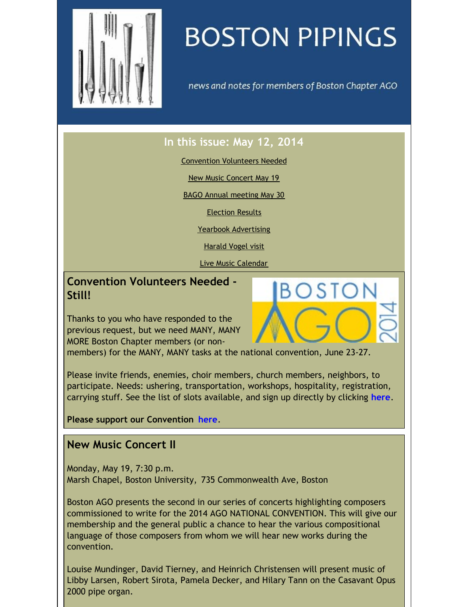<span id="page-0-0"></span>

# **BOSTON PIPINGS**

news and notes for members of Boston Chapter AGO

S I OI

# **In this issue: May 12, 2014**

[Convention](#page-0-0) Volunteers Needed

New Music [Concert](#page-0-0) May 19

BAGO Annual [meeting](#page-0-0) May 30

[Election](#page-0-0) Results

Yearbook [Advertising](#page-0-0)

[Harald](#page-0-0) Vogel visit

Live Music [Calendar](#page-0-0)

**Convention Volunteers Needed - Still!**

Thanks to you who have responded to the previous request, but we need MANY, MANY MORE Boston Chapter members (or non-

members) for the MANY, MANY tasks at the national convention, June 23-27.

Please invite friends, enemies, choir members, church members, neighbors, to participate. Needs: ushering, transportation, workshops, hospitality, registration, carrying stuff. See the list of slots available, and sign up directly by clicking **[here](http://www.signupgenius.com/go/10C0E4DAFA82DA3FB6-convention/2486312)**.

**Please support our Convention [here](http://www.agoboston2014.org/support/)**.

## **New Music Concert II**

Monday, May 19, 7:30 p.m. Marsh Chapel, Boston University, 735 Commonwealth Ave, Boston

Boston AGO presents the second in our series of concerts highlighting composers commissioned to write for the 2014 AGO NATIONAL CONVENTION. This will give our membership and the general public a chance to hear the various compositional language of those composers from whom we will hear new works during the convention.

Louise Mundinger, David Tierney, and Heinrich Christensen will present music of Libby Larsen, Robert Sirota, Pamela Decker, and Hilary Tann on the Casavant Opus 2000 pipe organ.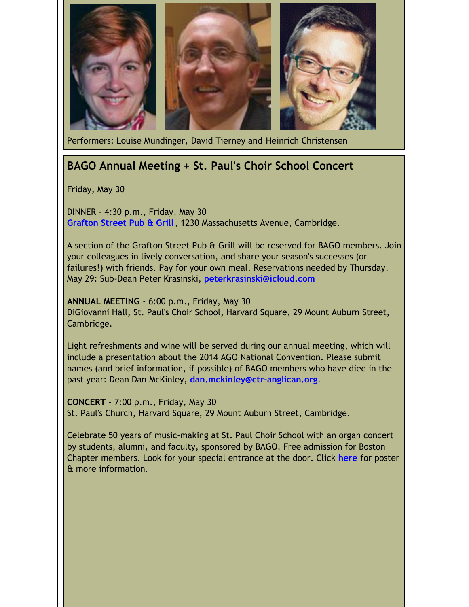

Performers: Louise Mundinger, David Tierney and Heinrich Christensen

## **BAGO Annual Meeting + St. Paul's Choir School Concert**

Friday, May 30

DINNER - 4:30 p.m., Friday, May 30 **[Grafton](http://graftonstreetcambridge.com/) Street Pub & Grill**, 1230 Massachusetts Avenue, Cambridge.

A section of the Grafton Street Pub & Grill will be reserved for BAGO members. Join your colleagues in lively conversation, and share your season's successes (or failures!) with friends. Pay for your own meal. Reservations needed by Thursday, May 29: Sub-Dean Peter Krasinski, **[peterkrasinski@icloud.com](mailto:peterkrasinski@icloud.com)**

**ANNUAL MEETING** - 6:00 p.m., Friday, May 30 DiGiovanni Hall, St. Paul's Choir School, Harvard Square, 29 Mount Auburn Street, Cambridge.

Light refreshments and wine will be served during our annual meeting, which will include a presentation about the 2014 AGO National Convention. Please submit names (and brief information, if possible) of BAGO members who have died in the past year: Dean Dan McKinley, **[dan.mckinley@ctr-anglican.org](mailto:dan.mckinley@ctr-anglican.org)**.

**CONCERT** - 7:00 p.m., Friday, May 30 St. Paul's Church, Harvard Square, 29 Mount Auburn Street, Cambridge.

Celebrate 50 years of music-making at St. Paul Choir School with an organ concert by students, alumni, and faculty, sponsored by BAGO. Free admission for Boston Chapter members. Look for your special entrance at the door. Click **[here](http://www.bostonago.org/?attachment_id=754)** for poster & more information.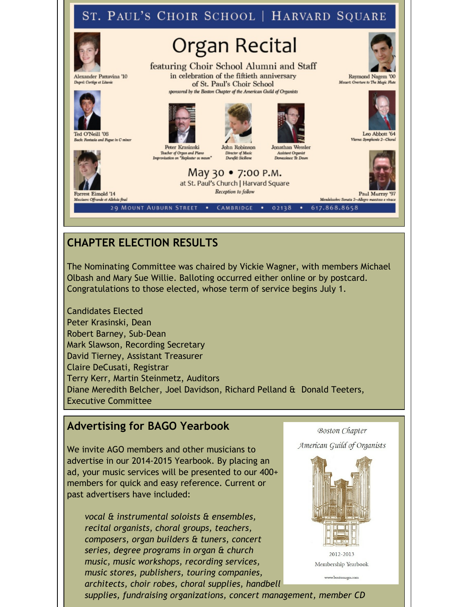#### ST. PAUL'S CHOIR SCHOOL | HARVARD SQUARE **Organ Recital** featuring Choir School Alumni and Staff in celebration of the fiftieth anniversary Alexander Pattavina '10 Raymond Nagem '00 Mozart: Overture to The Magic Flute Dupré: Cortège et Litanie of St. Paul's Choir School sponsored by the Boston Chapter of the American Guild of Organists Ted O'Neill '08 Leo Abbott '64 a and Fugue in C mino Jonathan Wessler Peter Krasinski John Robinson Teacher of Organ and Piano **Assistant Organist Director of Music** Duruflé: Siciliene Demessieux: Te Deum May 30 • 7:00 P.M. at St. Paul's Church | Harvard Square Reception to follow Forrest Eimold '14 Paul Murray **107** ata 2-Allegro maestoso e vivace Messiaen: Offrande et Allehuia fin 29 MOUNT AUBURN STREET . CAMBRIDGE . 02138 . 617.868.8658

# **CHAPTER ELECTION RESULTS**

The Nominating Committee was chaired by Vickie Wagner, with members Michael Olbash and Mary Sue Willie. Balloting occurred either online or by postcard. Congratulations to those elected, whose term of service begins July 1.

Candidates Elected Peter Krasinski, Dean Robert Barney, Sub-Dean Mark Slawson, Recording Secretary David Tierney, Assistant Treasurer Claire DeCusati, Registrar Terry Kerr, Martin Steinmetz, Auditors Diane Meredith Belcher, Joel Davidson, Richard Pelland & Donald Teeters, Executive Committee

## **Advertising for BAGO Yearbook**

We invite AGO members and other musicians to advertise in our 2014-2015 Yearbook. By placing an ad, your music services will be presented to our 400+ members for quick and easy reference. Current or past advertisers have included:

*vocal & instrumental soloists & ensembles, recital organists, choral groups, teachers, composers, organ builders & tuners, concert series, degree programs in organ & church music, music workshops, recording services, music stores, publishers, touring companies, architects, choir robes, choral supplies, handbell*

**Boston Chapter** American Guild of Organists



Membership Yearbook

www.bostonago.com

*supplies, fundraising organizations, concert management, member CD*